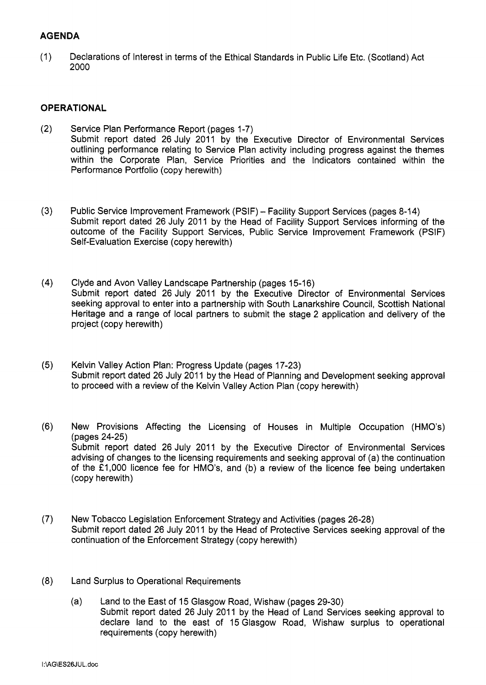# **AGENDA**

**(1)** Declarations of Interest in terms of the Ethical Standards in Public Life Etc. (Scotland) Act **2000** 

# **OPERATIONAL**

- **(2)** Service Plan Performance Report (pages **1-7)**  Submit report dated **26** July **2011** by the Executive Director of Environmental Services [outlining performance relating to Service Plan activity including progress against the themes](HTTP://mars.northlan.gov.uk/xpedio/groups/public/documents/report/071915.pdf)  within the Corporate Plan, Service Priorities and the Indicators contained within the Performance Portfolio (copy herewith)
- **(3)** [Public Service Improvement Framework \(PSIF\) Facility Support Services \(pages](HTTP://mars.northlan.gov.uk/xpedio/groups/public/documents/report/071916.pdf) **8-14)**  Submit report dated **26** July **2011** by the Head of Facility Support Services informing of the outcome of the Facility Support Services, Public Service Improvement Framework (PSIF) Self-Evaluation Exercise (copy herewith)
- (4) Clyde and Avon Valley Landscape Partnership (pages 15-16) Submit report dated **26** July **2011** by the Executive Director of Environmental Services [seeking approval to enter into a partnership with South Lanarkshire Council, Scottish National](HTTP://mars.northlan.gov.uk/xpedio/groups/public/documents/report/071917.pdf)  Heritage and a range of local partners to submit the stage **2** application and delivery of the project (copy herewith)
- **(5)** Kelvin Valley Action Plan: Progress Update (pages **17-23)**  Submit report dated 26 July 2011 by the Head of Planning and Development seeking approval [to proceed with a review of the Kelvin Valley Action Plan \(copy herewith\)](HTTP://mars.northlan.gov.uk/xpedio/groups/public/documents/report/071918.pdf)
- **(6)** New Provisions Affecting the Licensing of Houses in Multiple Occupation (HMO's) (pages **24-25)**  Submit report dated 26 July 2011 by the Executive Director of Environmental Services [advising of changes to the licensing requirements and seeking approval of \(a\) the continuation](HTTP://mars.northlan.gov.uk/xpedio/groups/public/documents/report/071919.pdf)  of the **f1,000** licence fee for HMO's, and (b) a review of the licence fee being undertaken (copy herewith)
- **(7)** [New Tobacco Legislation Enforcement Strategy and Activities \(pages](HTTP://mars.northlan.gov.uk/xpedio/groups/public/documents/report/071920.pdf) **26-28)**  Submit report dated **26** July **201 1** by the Head of Protective Services seeking approval of the continuation of the Enforcement Strategy (copy herewith)
- **(8)** Land Surplus to Operational Requirements
	- (a) Land to the East of **15** Glasgow Road, Wishaw (pages **29-30)**  Submit report dated **26** July **2011** [by the Head of Land Services seeking approval to](HTTP://mars.northlan.gov.uk/xpedio/groups/public/documents/report/071921.pdf)  declare land to the east of **15** Glasgow Road, Wishaw surplus to operational requirements (copy herewith)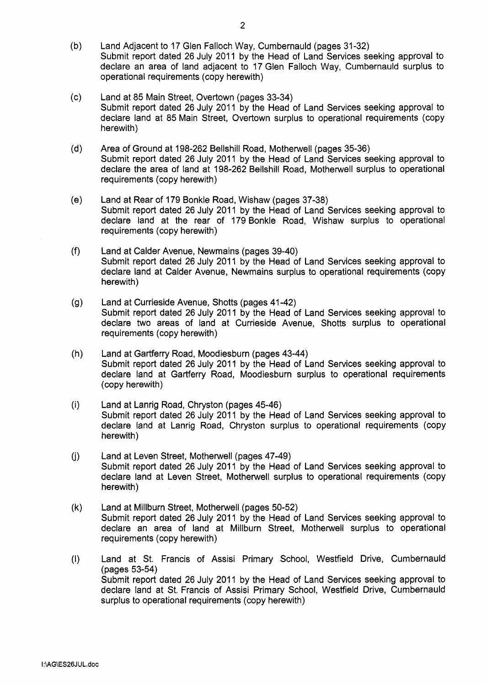- $(b)$ Land Adjacent to 17 Glen Falloch Way, Cumbernauld (pages 31-32) [Submit report dated 26 July 2011 by the Head of Land Services seeking approval to](HTTP://mars.northlan.gov.uk/xpedio/groups/public/documents/report/071922.pdf)  declare an area of land adjacent to 17 Glen Falloch Way, Cumbernauld surplus to operational requirements (copy herewith)
- $(c)$ Land at 85 Main Street, Overtown (pages 33-34) Submit report dated 26 July 2011 by the Head of Land Services seeking approval to [declare land at 85 Main Street, Overtown surplus to operational requirements \(copy](HTTP://mars.northlan.gov.uk/xpedio/groups/public/documents/report/071923.pdf)  herewith)
- $(d)$ Area of Ground at 198-262 Bellshill Road, Motherwell (pages 35-36) Submit report dated 26 July 2011 by the Head of Land Services seeking approval to [declare the area of land at 198-262 Bellshill Road, Motherwell surplus to operational](HTTP://mars.northlan.gov.uk/xpedio/groups/public/documents/report/071924.pdf)  requirements (copy herewith)
- $(e)$ Land at Rear of 179 Bonkle Road, Wishaw (pages 37-38) Submit report dated 26 July 2011 by the Head of Land Services seeking approval to [declare land at the rear of 179 Bonkle Road, Wishaw surplus to operational](HTTP://mars.northlan.gov.uk/xpedio/groups/public/documents/report/071925.pdf)  requirements (copy herewith)
- $(f)$ Land at Calder Avenue, Newmains (pages 39-40) [Submit report dated 26 July 2011 by the Head of Land Services seeking approval to](HTTP://mars.northlan.gov.uk/xpedio/groups/public/documents/report/071926.pdf)  declare land at Calder Avenue, Newmains surplus to operational requirements (copy herewith)
- $(q)$ Land at Currieside Avenue, Shotts (pages 41 -42) [Submit report dated 26 July 2011 by the Head of Land Services seeking approval to](HTTP://mars.northlan.gov.uk/xpedio/groups/public/documents/report/071927.pdf)  declare two areas of land at Currieside Avenue, Shotts surplus to operational requirements (copy herewith)
- $(h)$ Land at Gartferry Road, Moodiesburn (pages 43-44) Submit report dated 26 July 2011 by the Head of Land Services seeking approval to [declare land at Gartferry Road, Moodiesburn surplus to operational requirements](HTTP://mars.northlan.gov.uk/xpedio/groups/public/documents/report/071928.pdf)  (copy herewith)
- $(i)$ Land at Lanrig Road, Chryston (pages 45-46) Submit report dated 26 July 2011 by the Head of Land Services seeking approval to [declare land at Lanrig Road, Chryston surplus to operational requirements \(copy](HTTP://mars.northlan.gov.uk/xpedio/groups/public/documents/report/071929.pdf)  herewith)
- $(i)$ Land at Leven Street, Motherwell (pages 47-49) [Submit report dated 26 July 2011 by the Head of Land Services seeking approval to](HTTP://mars.northlan.gov.uk/xpedio/groups/public/documents/report/071930.pdf)  declare land at Leven Street, Motherwell surplus to operational requirements (copy herewith)
- $(k)$ Land at Millburn Street, Motherwell (pages 50-52) Submit report dated 26 July 2011 by the Head of Land Services seeking approval to [declare an area of land at Millburn Street, Motherwell surplus to operational](HTTP://mars.northlan.gov.uk/xpedio/groups/public/documents/report/071931.pdf)  requirements (copy herewith)
- $(1)$ Land at St. Francis of Assisi Primary School, Westfield Drive, Cumbernauld (pages 53-54) [Submit report dated 26 July 2011 by the Head of Land Services seeking approval to](HTTP://mars.northlan.gov.uk/xpedio/groups/public/documents/report/071932.pdf)  declare land at St. Francis of Assisi Primary School, Westfield Drive, Cumbernauld surplus to operational requirements (copy herewith)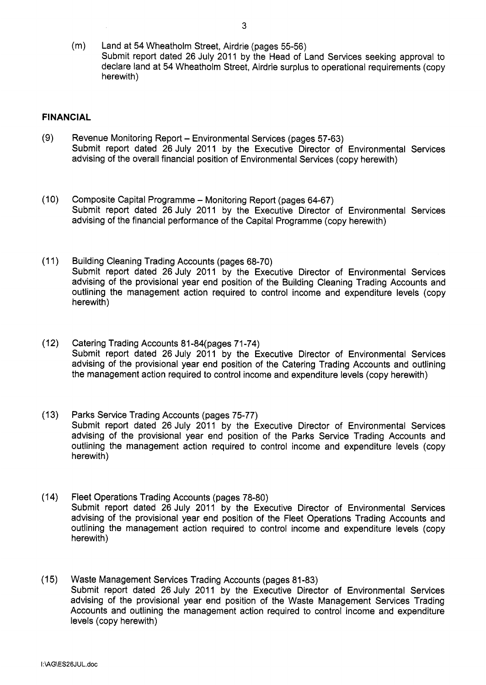(m) Land at 54 Wheatholm Street, Airdrie (pages 55-56) Submit report dated 26 July 2011 by the Head of Land Services seeking approval to [declare land at 54 Wheatholm Street, Airdrie surplus to operational requirements \(copy](HTTP://mars.northlan.gov.uk/xpedio/groups/public/documents/report/071933.pdf)  herewith)

## **FINANCIAL**

- $(9)$ Revenue Monitoring Report - Environmental Services (pages 57-63) Submit report dated 26 July 2011 by the Executive Director of Environmental Services advising of the overall financial position of Environmental Services (copy herewith)
- $(10)$ [Composite Capital Programme - Monitoring Report \(pages 64-67\)](HTTP://mars.northlan.gov.uk/xpedio/groups/public/documents/report/071935.pdf)  Submit report dated 26 July 2011 by the Executive Director of Environmental Services advising of the financial performance of the Capital Programme (copy herewith)
- $(11)$ Building Cleaning Trading Accounts (pages 68-70) Submit report dated 26 July 2011 by the Executive Director of Environmental Services advising of the provisional year end position of the Building Cleaning Trading Accounts and [outlining the management action required to control income and expenditure levels \(copy](HTTP://mars.northlan.gov.uk/xpedio/groups/public/documents/report/071936.pdf)  herewith)
- $(12)$ Catering Trading Accounts 81 -84(pages 71 -74) Submit report dated 26 July 2011 by the Executive Director of Environmental Services [advising of the provisional year end position of the Catering Trading Accounts and outlining](HTTP://mars.northlan.gov.uk/xpedio/groups/public/documents/report/071937.pdf)  the management action required to control income and expenditure levels (copy herewith)
- Parks Service Trading Accounts (pages 75-77)  $(13)$ Submit report dated 26 July 2011 by the Executive Director of Environmental Services advising of the provisional year end position of the Parks Service Trading Accounts and outlining the management action required to control income and expenditure levels (copy herewith)
- $(14)$ Fleet Operations Trading Accounts (pages 78-80) Submit report dated 26 July 2011 by the Executive Director of Environmental Services [advising of the provisional year end position of the Fleet Operations Trading Accounts and](HTTP://mars.northlan.gov.uk/xpedio/groups/public/documents/report/071939.pdf)  outlining the management action required to control income and expenditure levels (copy herewith)
- (15) Waste Management Services Trading Accounts (pages 81-83) Submit report dated 26 July 2011 by the Executive Director of Environmental Services advising of the provisional year end position of the Waste Management Services Trading [Accounts and outlining the management action required to control income and expenditure](HTTP://mars.northlan.gov.uk/xpedio/groups/public/documents/report/071940.pdf)  levels (copy herewith)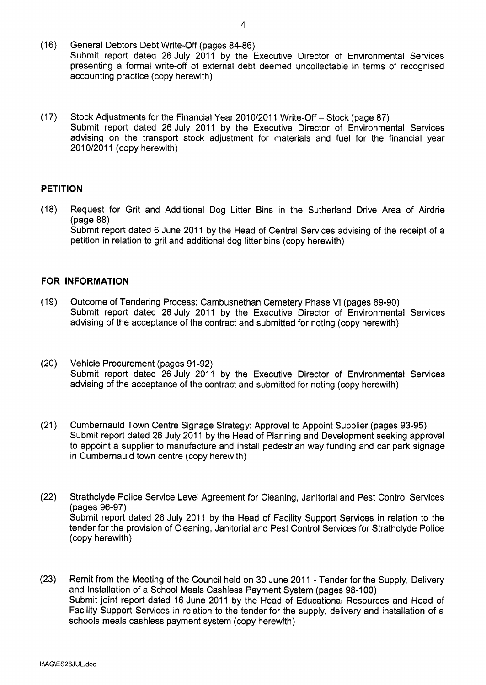- $(16)$ General Debtors Debt Write-off (pages 84-86) [Submit report dated 26 July 2011 by the Executive Director of Environmental Services](HTTP://mars.northlan.gov.uk/xpedio/groups/public/documents/report/071941.pdf)  presenting a formal write-off of external debt deemed uncollectable in terms of recognised accounting practice (copy herewith)
- $(17)$ Stock Adjustments for the Financial Year 2010/2011 Write-Off - Stock (page 87) Submit report dated 26 July 2011 by the Executive Director of Environmental Services advising on the transport stock adjustment for materials and fuel for the financial year 2010/2011 (copy herewith)

## **PETITION**

[\(18\) Request for Grit and Additional Dog Litter Bins in the Sutherland Drive Area of Airdrie](HTTP://mars.northlan.gov.uk/xpedio/groups/public/documents/report/071943.pdf) Submit report dated 6 June 2011 by the Head of Central Services advising of the receipt of a petition in relation to grit and additional dog litter bins (copy herewith) (page 88)

## **FOR INFORMATION**

- $(19)$ Outcome of Tendering Process: Cambusnethan Cemetery Phase VI (pages 89-90) Submit report dated 26 July 2011 by the Executive Director of Environmental Services advising of the acceptance of the contract and submitted for noting (copy herewith)
- $(20)$ Vehicle Procurement (pages 91-92) [Submit report dated 26 July 2011 by the Executive Director of Environmental Services](HTTP://mars.northlan.gov.uk/xpedio/groups/public/documents/report/071945.pdf)  advising of the acceptance of the contract and submitted for noting (copy herewith)
- $(21)$ Cumbernauld Town Centre Signage Strategy: Approval to Appoint Supplier (pages 93-95) Submit report dated 26 July 2011 by the Head of Planning and Development seeking approval [to appoint a supplier to manufacture and install pedestrian way funding and car park signage](HTTP://mars.northlan.gov.uk/xpedio/groups/public/documents/report/071946.pdf)  in Cumbernauld town centre (copy herewith)
- $(22)$ Strathclyde Police Service Level Agreement for Cleaning, Janitorial and Pest Control Services (pages 96-97) Submit report dated 26 July 2011 by the Head of Facility Support Services in relation to the [tender for the provision of Cleaning, Janitorial and Pest Control Services for Strathclyde Police](HTTP://mars.northlan.gov.uk/xpedio/groups/public/documents/report/071947.pdf)  (copy herewith)
- (23) Remit from the Meeting of the Council held on 30 June 2011 Tender for the Supply, Delivery and Installation of a School Meals Cashless Payment System (pages 98-100) Submit joint report dated 16 June 2011 by the Head of Educational Resources and Head of Facility Support Services in relation to the tender for the supply, delivery and installation of a schools meals cashless payment system (copy herewith)